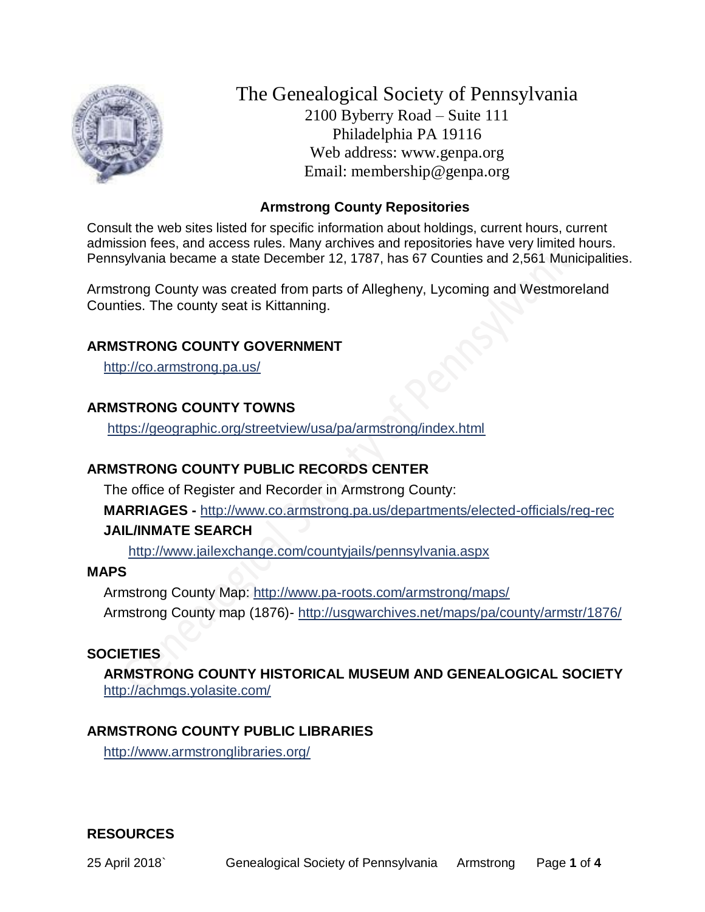

The Genealogical Society of Pennsylvania 2100 Byberry Road – Suite 111 Philadelphia PA 19116 Web address: www.genpa.org Email: membership@genpa.org

# **Armstrong County Repositories**

Consult the web sites listed for specific information about holdings, current hours, current admission fees, and access rules. Many archives and repositories have very limited hours. Pennsylvania became a state December 12, 1787, has 67 Counties and 2,561 Municipalities.

Armstrong County was created from parts of Allegheny, Lycoming and Westmoreland Counties. The county seat is Kittanning.

### **ARMSTRONG COUNTY GOVERNMENT**

<http://co.armstrong.pa.us/>

# **ARMSTRONG COUNTY TOWNS**

<https://geographic.org/streetview/usa/pa/armstrong/index.html>

# **ARMSTRONG COUNTY PUBLIC RECORDS CENTER**

The office of Register and Recorder in Armstrong County:

**MARRIAGES -** <http://www.co.armstrong.pa.us/departments/elected-officials/reg-rec>

### **JAIL/INMATE SEARCH**

<http://www.jailexchange.com/countyjails/pennsylvania.aspx>

### **MAPS**

Armstrong County Map:<http://www.pa-roots.com/armstrong/maps/> Armstrong County map (1876)- <http://usgwarchives.net/maps/pa/county/armstr/1876/>

# **SOCIETIES**

**ARMSTRONG COUNTY HISTORICAL MUSEUM AND GENEALOGICAL SOCIETY**  <http://achmgs.yolasite.com/>

# **ARMSTRONG COUNTY PUBLIC LIBRARIES**

<http://www.armstronglibraries.org/>

### **RESOURCES**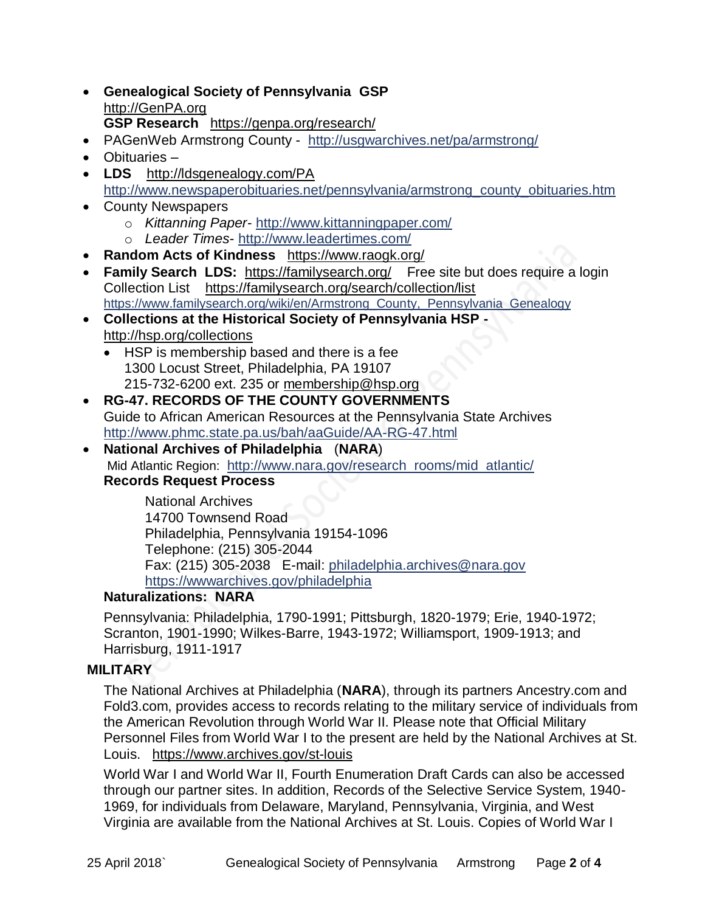- **Genealogical Society of Pennsylvania GSP** [http://GenPA.org](http://genpa.org/) **GSP Research** <https://genpa.org/research/>
- PAGenWeb Armstrong County <http://usgwarchives.net/pa/armstrong/>
- Obituaries –
- **LDS** <http://ldsgenealogy.com/PA> [http://www.newspaperobituaries.net/pennsylvania/armstrong\\_county\\_obituaries.htm](http://www.newspaperobituaries.net/pennsylvania/armstrong_county_obituaries.htm)
- County Newspapers o *Kittanning Paper*- <http://www.kittanningpaper.com/>
	- o *Leader Times* <http://www.leadertimes.com/>
- **Random Acts of Kindness** <https://www.raogk.org/>
- **Family Search LDS:** <https://familysearch.org/>Free site but does require a login Collection List <https://familysearch.org/search/collection/list> [https://www.familysearch.org/wiki/en/Armstrong\\_County,\\_Pennsylvania\\_Genealogy](https://www.familysearch.org/wiki/en/Armstrong_County,_Pennsylvania_Genealogy)
- **Collections at the Historical Society of Pennsylvania HSP**  <http://hsp.org/collections>
	- HSP is membership based and there is a fee 1300 Locust Street, Philadelphia, PA 19107 215-732-6200 ext. 235 or [membership@hsp.org](mailto:membership@hsp.org)
- **RG-47. RECORDS OF THE COUNTY GOVERNMENTS** Guide to African American Resources at the Pennsylvania State Archives <http://www.phmc.state.pa.us/bah/aaGuide/AA-RG-47.html>
- **National Archives of Philadelphia** (**NARA**) Mid Atlantic Region: [http://www.nara.gov/research\\_rooms/mid\\_atlantic/](http://www.nara.gov/research_rooms/mid_atlantic/) **Records Request Process**

National Archives 14700 Townsend Road Philadelphia, Pennsylvania 19154-1096 Telephone: (215) 305-2044 Fax: (215) 305-2038 E-mail: [philadelphia.archives@nara.gov](mailto:philadelphia.archives@nara.gov) <https://wwwarchives.gov/philadelphia>

# **Naturalizations: NARA**

Pennsylvania: Philadelphia, 1790-1991; Pittsburgh, 1820-1979; Erie, 1940-1972; Scranton, 1901-1990; Wilkes-Barre, 1943-1972; Williamsport, 1909-1913; and Harrisburg, 1911-1917

# **MILITARY**

The National Archives at Philadelphia (**NARA**), through its partners Ancestry.com and Fold3.com, provides access to records relating to the military service of individuals from the American Revolution through World War II. Please note that Official Military Personnel Files from World War I to the present are held by the National Archives at St. Louis. <https://www.archives.gov/st-louis>

World War I and World War II, Fourth Enumeration Draft Cards can also be accessed through our partner sites. In addition, Records of the Selective Service System, 1940- 1969, for individuals from Delaware, Maryland, Pennsylvania, Virginia, and West Virginia are available from the National Archives at St. Louis. Copies of World War I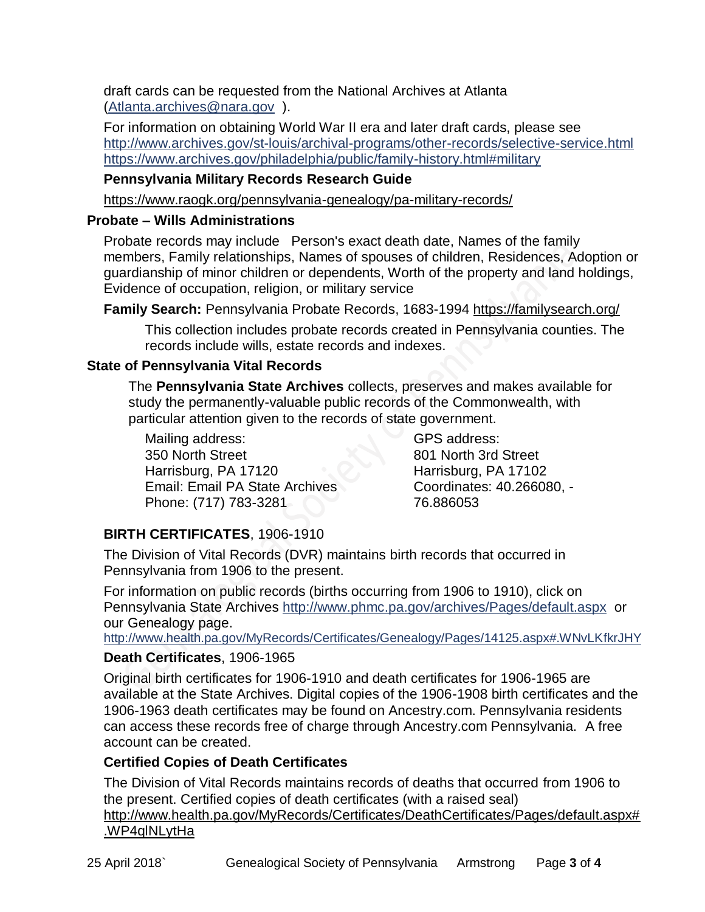draft cards can be requested from the National Archives at Atlanta [\(Atlanta.archives@nara.gov](mailto:Atlanta.archives@nara.gov) ).

For information on obtaining World War II era and later draft cards, please see <http://www.archives.gov/st-louis/archival-programs/other-records/selective-service.html> <https://www.archives.gov/philadelphia/public/family-history.html#military>

# **Pennsylvania Military Records Research Guide**

<https://www.raogk.org/pennsylvania-genealogy/pa-military-records/>

# **Probate – Wills Administrations**

Probate records may include Person's exact death date, Names of the family members, Family relationships, Names of spouses of children, Residences, Adoption or guardianship of minor children or dependents, Worth of the property and land holdings, Evidence of occupation, religion, or military service

**Family Search:** Pennsylvania Probate Records, 1683-1994 <https://familysearch.org/>

This collection includes probate records created in Pennsylvania counties. The records include wills, estate records and indexes.

# **State of Pennsylvania Vital Records**

The **Pennsylvania State Archives** collects, preserves and makes available for study the permanently-valuable public records of the Commonwealth, with particular attention given to the records of state government.

Mailing address: 350 North Street Harrisburg, PA 17120 Email: Email PA State Archives Phone: (717) 783-3281

GPS address: 801 North 3rd Street Harrisburg, PA 17102 Coordinates: 40.266080, - 76.886053

# **BIRTH CERTIFICATES**, 1906-1910

The Division of Vital Records (DVR) maintains birth records that occurred in Pennsylvania from 1906 to the present.

For information on public records (births occurring from 1906 to 1910), click on Pennsylvania State Archives <http://www.phmc.pa.gov/archives/Pages/default.aspx>or our Genealogy page.

<http://www.health.pa.gov/MyRecords/Certificates/Genealogy/Pages/14125.aspx#.WNvLKfkrJHY>

# **Death Certificates**, 1906-1965

Original birth certificates for 1906-1910 and death certificates for 1906-1965 are available at the State Archives. Digital copies of the 1906-1908 birth certificates and the 1906-1963 death certificates may be found on Ancestry.com. Pennsylvania residents can access these records free of charge through Ancestry.com Pennsylvania. A free account can be created.

# **Certified Copies of Death Certificates**

The Division of Vital Records maintains records of deaths that occurred from 1906 to the present. Certified copies of death certificates (with a raised seal) http://www.health.pa.gov/MyRecords/Certificates/DeathCertificates/Pages/default.aspx#

# .WP4qlNLytHa